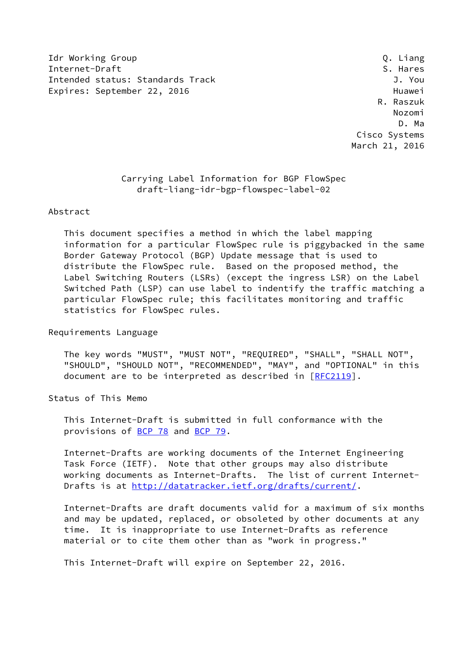Idr Working Group **Q. Liang** Internet-Draft S. Hares Intended status: Standards Track J. You Expires: September 22, 2016 **Huawei** 

 R. Raszuk Nozomi D. Ma Cisco Systems March 21, 2016

> Carrying Label Information for BGP FlowSpec draft-liang-idr-bgp-flowspec-label-02

## Abstract

 This document specifies a method in which the label mapping information for a particular FlowSpec rule is piggybacked in the same Border Gateway Protocol (BGP) Update message that is used to distribute the FlowSpec rule. Based on the proposed method, the Label Switching Routers (LSRs) (except the ingress LSR) on the Label Switched Path (LSP) can use label to indentify the traffic matching a particular FlowSpec rule; this facilitates monitoring and traffic statistics for FlowSpec rules.

Requirements Language

 The key words "MUST", "MUST NOT", "REQUIRED", "SHALL", "SHALL NOT", "SHOULD", "SHOULD NOT", "RECOMMENDED", "MAY", and "OPTIONAL" in this document are to be interpreted as described in [\[RFC2119](https://datatracker.ietf.org/doc/pdf/rfc2119)].

Status of This Memo

 This Internet-Draft is submitted in full conformance with the provisions of [BCP 78](https://datatracker.ietf.org/doc/pdf/bcp78) and [BCP 79](https://datatracker.ietf.org/doc/pdf/bcp79).

 Internet-Drafts are working documents of the Internet Engineering Task Force (IETF). Note that other groups may also distribute working documents as Internet-Drafts. The list of current Internet Drafts is at<http://datatracker.ietf.org/drafts/current/>.

 Internet-Drafts are draft documents valid for a maximum of six months and may be updated, replaced, or obsoleted by other documents at any time. It is inappropriate to use Internet-Drafts as reference material or to cite them other than as "work in progress."

This Internet-Draft will expire on September 22, 2016.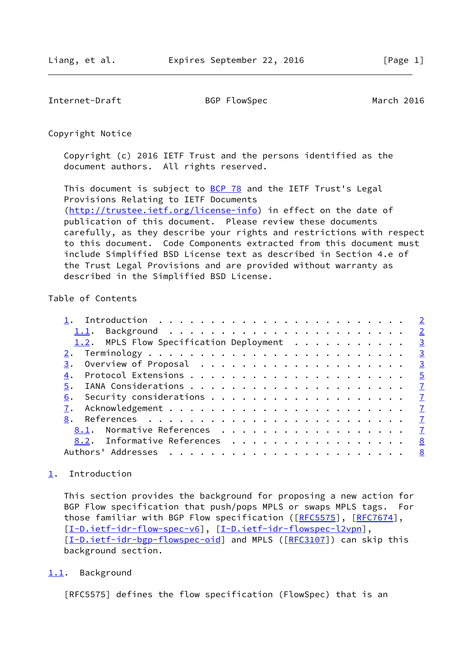<span id="page-1-1"></span>Internet-Draft BGP FlowSpec March 2016

Copyright Notice

 Copyright (c) 2016 IETF Trust and the persons identified as the document authors. All rights reserved.

This document is subject to **[BCP 78](https://datatracker.ietf.org/doc/pdf/bcp78)** and the IETF Trust's Legal Provisions Relating to IETF Documents [\(http://trustee.ietf.org/license-info](http://trustee.ietf.org/license-info)) in effect on the date of publication of this document. Please review these documents carefully, as they describe your rights and restrictions with respect to this document. Code Components extracted from this document must include Simplified BSD License text as described in Section 4.e of the Trust Legal Provisions and are provided without warranty as described in the Simplified BSD License.

## Table of Contents

| 1.2. MPLS Flow Specification Deployment 3 |                            |
|-------------------------------------------|----------------------------|
|                                           |                            |
|                                           | $\overline{\phantom{0}}^3$ |
|                                           |                            |
|                                           |                            |
| 6.                                        |                            |
|                                           |                            |
| 8.                                        |                            |
| 8.1. Normative References 7               |                            |
| 8.2. Informative References               | 8                          |
| Authors' Addresses <u>8</u>               |                            |
|                                           |                            |

## <span id="page-1-0"></span>[1](#page-1-0). Introduction

 This section provides the background for proposing a new action for BGP Flow specification that push/pops MPLS or swaps MPLS tags. For those familiar with BGP Flow specification ([\[RFC5575](https://datatracker.ietf.org/doc/pdf/rfc5575)], [\[RFC7674](https://datatracker.ietf.org/doc/pdf/rfc7674)], [\[I-D.ietf-idr-flow-spec-v6](#page-8-1)], [\[I-D.ietf-idr-flowspec-l2vpn](#page-8-2)], [\[I-D.ietf-idr-bgp-flowspec-oid](#page-8-3)] and MPLS ([[RFC3107](https://datatracker.ietf.org/doc/pdf/rfc3107)]) can skip this background section.

<span id="page-1-2"></span>[1.1](#page-1-2). Background

[RFC5575] defines the flow specification (FlowSpec) that is an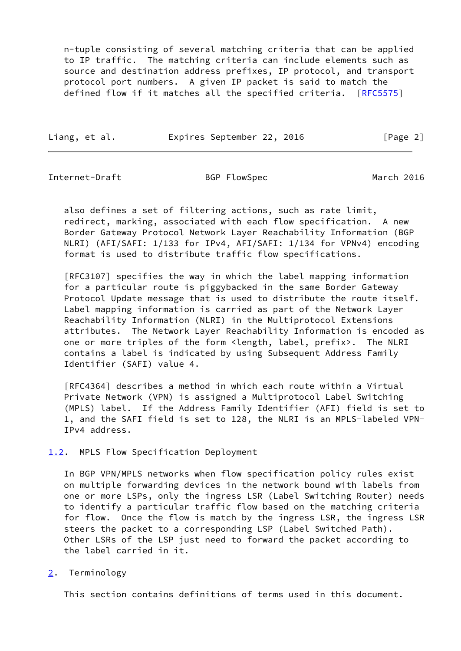n-tuple consisting of several matching criteria that can be applied to IP traffic. The matching criteria can include elements such as source and destination address prefixes, IP protocol, and transport protocol port numbers. A given IP packet is said to match the defined flow if it matches all the specified criteria. [\[RFC5575](https://datatracker.ietf.org/doc/pdf/rfc5575)]

Liang, et al. **Expires September 22, 2016** [Page 2]

<span id="page-2-1"></span>Internet-Draft BGP FlowSpec March 2016

 also defines a set of filtering actions, such as rate limit, redirect, marking, associated with each flow specification. A new Border Gateway Protocol Network Layer Reachability Information (BGP NLRI) (AFI/SAFI: 1/133 for IPv4, AFI/SAFI: 1/134 for VPNv4) encoding format is used to distribute traffic flow specifications.

 [RFC3107] specifies the way in which the label mapping information for a particular route is piggybacked in the same Border Gateway Protocol Update message that is used to distribute the route itself. Label mapping information is carried as part of the Network Layer Reachability Information (NLRI) in the Multiprotocol Extensions attributes. The Network Layer Reachability Information is encoded as one or more triples of the form <length, label, prefix>. The NLRI contains a label is indicated by using Subsequent Address Family Identifier (SAFI) value 4.

 [RFC4364] describes a method in which each route within a Virtual Private Network (VPN) is assigned a Multiprotocol Label Switching (MPLS) label. If the Address Family Identifier (AFI) field is set to 1, and the SAFI field is set to 128, the NLRI is an MPLS-labeled VPN- IPv4 address.

<span id="page-2-0"></span>[1.2](#page-2-0). MPLS Flow Specification Deployment

 In BGP VPN/MPLS networks when flow specification policy rules exist on multiple forwarding devices in the network bound with labels from one or more LSPs, only the ingress LSR (Label Switching Router) needs to identify a particular traffic flow based on the matching criteria for flow. Once the flow is match by the ingress LSR, the ingress LSR steers the packet to a corresponding LSP (Label Switched Path). Other LSRs of the LSP just need to forward the packet according to the label carried in it.

<span id="page-2-2"></span>[2](#page-2-2). Terminology

This section contains definitions of terms used in this document.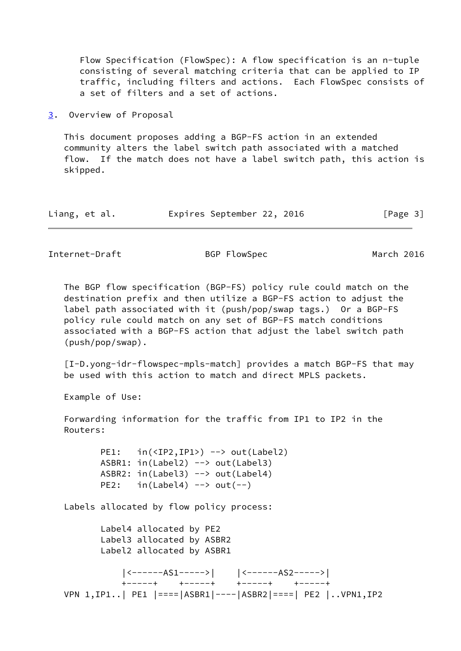Flow Specification (FlowSpec): A flow specification is an n-tuple consisting of several matching criteria that can be applied to IP traffic, including filters and actions. Each FlowSpec consists of a set of filters and a set of actions.

<span id="page-3-0"></span>[3](#page-3-0). Overview of Proposal

 This document proposes adding a BGP-FS action in an extended community alters the label switch path associated with a matched flow. If the match does not have a label switch path, this action is skipped.

|  | Liang, et al. |  | Expires September 22, 2016 |  |  |  | [Page 3] |
|--|---------------|--|----------------------------|--|--|--|----------|
|--|---------------|--|----------------------------|--|--|--|----------|

Internet-Draft BGP FlowSpec March 2016

 The BGP flow specification (BGP-FS) policy rule could match on the destination prefix and then utilize a BGP-FS action to adjust the label path associated with it (push/pop/swap tags.) Or a BGP-FS policy rule could match on any set of BGP-FS match conditions associated with a BGP-FS action that adjust the label switch path (push/pop/swap).

 [I-D.yong-idr-flowspec-mpls-match] provides a match BGP-FS that may be used with this action to match and direct MPLS packets.

Example of Use:

 Forwarding information for the traffic from IP1 to IP2 in the Routers:

> PE1: in(<IP2,IP1>) --> out(Label2) ASBR1: in(Label2) --> out(Label3) ASBR2: in(Label3) --> out(Label4) PE2:  $in(Label4)$  -->  $out(--)$

Labels allocated by flow policy process:

 Label4 allocated by PE2 Label3 allocated by ASBR2 Label2 allocated by ASBR1

 |<------AS1----->| |<------AS2----->| +-----+ +-----+ +-----+ +-----+ VPN 1,IP1..| PE1 |====|ASBR1|----|ASBR2|====| PE2 |..VPN1,IP2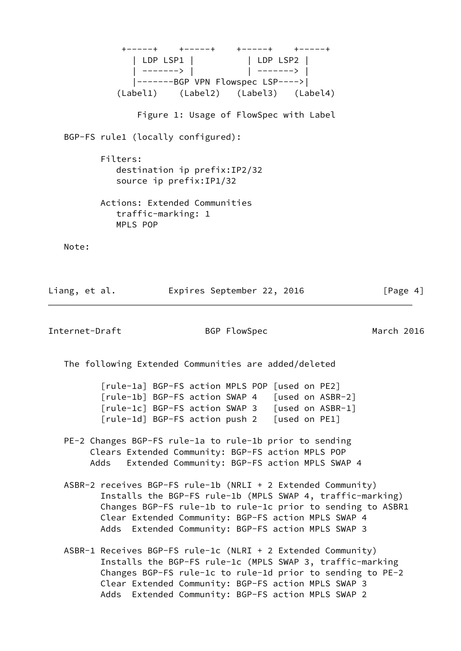+-----+ +-----+ +-----+ +-----+ | LDP LSP1 | | | | | LDP LSP2 | | -------> | | -------> | |-------BGP VPN Flowspec LSP---->| (Label1) (Label2) (Label3) (Label4) Figure 1: Usage of FlowSpec with Label BGP-FS rule1 (locally configured): Filters: destination ip prefix:IP2/32 source ip prefix:IP1/32 Actions: Extended Communities traffic-marking: 1 MPLS POP Note: Liang, et al. **Expires September 22, 2016** [Page 4] Internet-Draft BGP FlowSpec March 2016

<span id="page-4-0"></span>The following Extended Communities are added/deleted

 [rule-1a] BGP-FS action MPLS POP [used on PE2] [rule-1b] BGP-FS action SWAP 4 [used on ASBR-2] [rule-1c] BGP-FS action SWAP 3 [used on ASBR-1] [rule-1d] BGP-FS action push 2 [used on PE1]

- PE-2 Changes BGP-FS rule-1a to rule-1b prior to sending Clears Extended Community: BGP-FS action MPLS POP Adds Extended Community: BGP-FS action MPLS SWAP 4
- ASBR-2 receives BGP-FS rule-1b (NRLI + 2 Extended Community) Installs the BGP-FS rule-1b (MPLS SWAP 4, traffic-marking) Changes BGP-FS rule-1b to rule-1c prior to sending to ASBR1 Clear Extended Community: BGP-FS action MPLS SWAP 4 Adds Extended Community: BGP-FS action MPLS SWAP 3
- ASBR-1 Receives BGP-FS rule-1c (NLRI + 2 Extended Community) Installs the BGP-FS rule-1c (MPLS SWAP 3, traffic-marking Changes BGP-FS rule-1c to rule-1d prior to sending to PE-2 Clear Extended Community: BGP-FS action MPLS SWAP 3 Adds Extended Community: BGP-FS action MPLS SWAP 2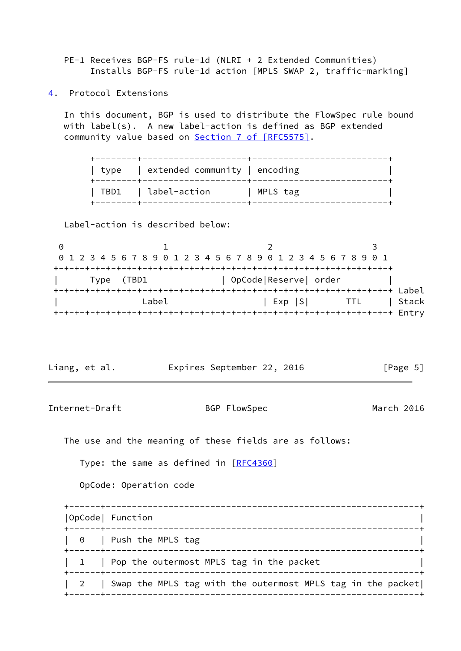PE-1 Receives BGP-FS rule-1d (NLRI + 2 Extended Communities) Installs BGP-FS rule-1d action [MPLS SWAP 2, traffic-marking]

<span id="page-5-0"></span>[4](#page-5-0). Protocol Extensions

 In this document, BGP is used to distribute the FlowSpec rule bound with label(s). A new label-action is defined as BGP extended community value based on Section [7 of \[RFC5575\]](https://datatracker.ietf.org/doc/pdf/rfc5575#section-7).

| type   extended community   encoding |          |
|--------------------------------------|----------|
| TBD1   label-action                  | MPLS tag |

Label-action is described below:

|  | 0 1 2 3 4 5 6 7 8 9 0 1 2 3 4 5 6 7 8 9 0 1 2 3 4 5 6 7 8 9 0 1 |  |       |  |  |  |  |                       |  |        |  |  |            |  |       |
|--|-----------------------------------------------------------------|--|-------|--|--|--|--|-----------------------|--|--------|--|--|------------|--|-------|
|  |                                                                 |  |       |  |  |  |  |                       |  |        |  |  |            |  |       |
|  | Type (TBD1                                                      |  |       |  |  |  |  | OpCode Reserve  order |  |        |  |  |            |  |       |
|  |                                                                 |  |       |  |  |  |  | Label                 |  |        |  |  |            |  |       |
|  |                                                                 |  | Label |  |  |  |  |                       |  | Exp  S |  |  | <b>TTL</b> |  | Stack |
|  |                                                                 |  |       |  |  |  |  |                       |  |        |  |  |            |  |       |

| Liang, et al. |  | Expires September 22, 2016 |  | [Page 5] |  |
|---------------|--|----------------------------|--|----------|--|
|               |  |                            |  |          |  |

Internet-Draft BGP FlowSpec March 2016

The use and the meaning of these fields are as follows:

Type: the same as defined in [\[RFC4360](https://datatracker.ietf.org/doc/pdf/rfc4360)]

OpCode: Operation code

| OpCode  Function                                                |
|-----------------------------------------------------------------|
| $\vert 0 \vert$ Push the MPLS tag                               |
| 1   Pop the outermost MPLS tag in the packet                    |
| 2   Swap the MPLS tag with the outermost MPLS tag in the packet |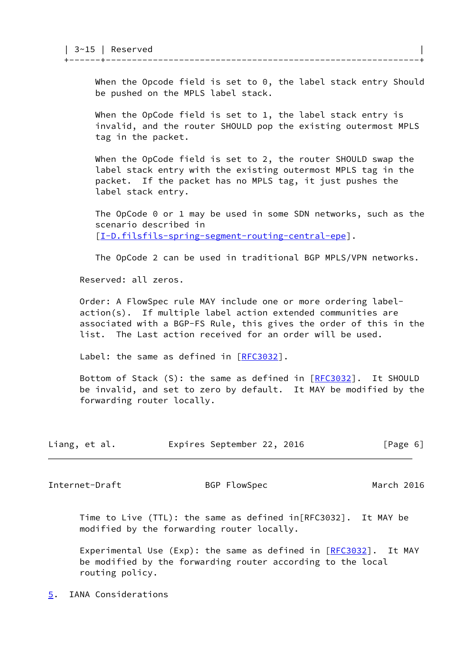When the Opcode field is set to 0, the label stack entry Should be pushed on the MPLS label stack.

+------+------------------------------------------------------------+

 When the OpCode field is set to 1, the label stack entry is invalid, and the router SHOULD pop the existing outermost MPLS tag in the packet.

 When the OpCode field is set to 2, the router SHOULD swap the label stack entry with the existing outermost MPLS tag in the packet. If the packet has no MPLS tag, it just pushes the label stack entry.

 The OpCode 0 or 1 may be used in some SDN networks, such as the scenario described in [[I-D.filsfils-spring-segment-routing-central-epe](#page-8-4)].

The OpCode 2 can be used in traditional BGP MPLS/VPN networks.

Reserved: all zeros.

 Order: A FlowSpec rule MAY include one or more ordering label action(s). If multiple label action extended communities are associated with a BGP-FS Rule, this gives the order of this in the list. The Last action received for an order will be used.

Label: the same as defined in [\[RFC3032](https://datatracker.ietf.org/doc/pdf/rfc3032)].

 Bottom of Stack (S): the same as defined in [\[RFC3032](https://datatracker.ietf.org/doc/pdf/rfc3032)]. It SHOULD be invalid, and set to zero by default. It MAY be modified by the forwarding router locally.

| Liang, et al. | Expires September 22, 2016 |  | [Page 6] |
|---------------|----------------------------|--|----------|
|---------------|----------------------------|--|----------|

<span id="page-6-1"></span>Internet-Draft BGP FlowSpec March 2016

 Time to Live (TTL): the same as defined in[RFC3032]. It MAY be modified by the forwarding router locally.

Experimental Use (Exp): the same as defined in  $[REC3032]$ . It MAY be modified by the forwarding router according to the local routing policy.

<span id="page-6-0"></span>[5](#page-6-0). IANA Considerations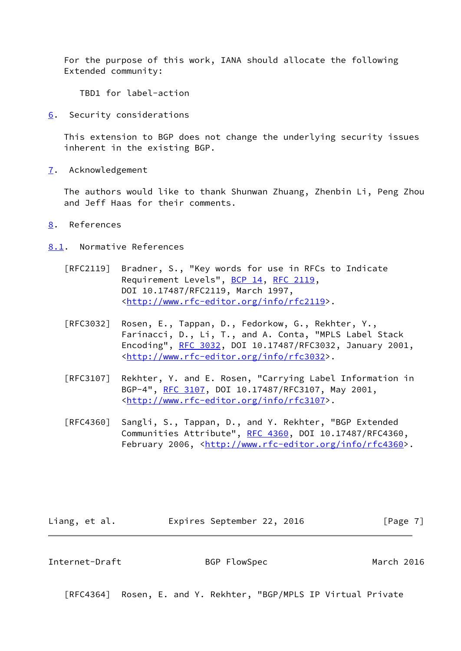For the purpose of this work, IANA should allocate the following Extended community:

TBD1 for label-action

<span id="page-7-0"></span>[6](#page-7-0). Security considerations

 This extension to BGP does not change the underlying security issues inherent in the existing BGP.

<span id="page-7-1"></span>[7](#page-7-1). Acknowledgement

 The authors would like to thank Shunwan Zhuang, Zhenbin Li, Peng Zhou and Jeff Haas for their comments.

- <span id="page-7-2"></span>[8](#page-7-2). References
- <span id="page-7-3"></span>[8.1](#page-7-3). Normative References
	- [RFC2119] Bradner, S., "Key words for use in RFCs to Indicate Requirement Levels", [BCP 14](https://datatracker.ietf.org/doc/pdf/bcp14), [RFC 2119](https://datatracker.ietf.org/doc/pdf/rfc2119), DOI 10.17487/RFC2119, March 1997, <<http://www.rfc-editor.org/info/rfc2119>>.
	- [RFC3032] Rosen, E., Tappan, D., Fedorkow, G., Rekhter, Y., Farinacci, D., Li, T., and A. Conta, "MPLS Label Stack Encoding", [RFC 3032](https://datatracker.ietf.org/doc/pdf/rfc3032), DOI 10.17487/RFC3032, January 2001, <<http://www.rfc-editor.org/info/rfc3032>>.
	- [RFC3107] Rekhter, Y. and E. Rosen, "Carrying Label Information in BGP-4", [RFC 3107,](https://datatracker.ietf.org/doc/pdf/rfc3107) DOI 10.17487/RFC3107, May 2001, <<http://www.rfc-editor.org/info/rfc3107>>.
	- [RFC4360] Sangli, S., Tappan, D., and Y. Rekhter, "BGP Extended Communities Attribute", [RFC 4360,](https://datatracker.ietf.org/doc/pdf/rfc4360) DOI 10.17487/RFC4360, February 2006, <<http://www.rfc-editor.org/info/rfc4360>>.

Liang, et al. **Expires September 22, 2016** [Page 7]

<span id="page-7-4"></span>Internet-Draft BGP FlowSpec March 2016

[RFC4364] Rosen, E. and Y. Rekhter, "BGP/MPLS IP Virtual Private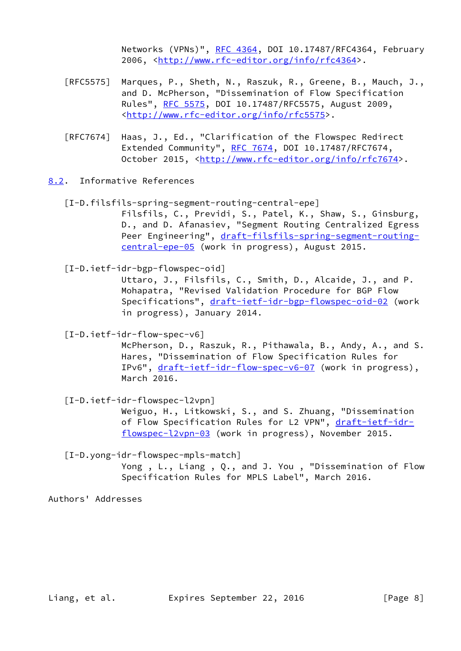Networks (VPNs)", [RFC 4364](https://datatracker.ietf.org/doc/pdf/rfc4364), DOI 10.17487/RFC4364, February 2006, [<http://www.rfc-editor.org/info/rfc4364](http://www.rfc-editor.org/info/rfc4364)>.

- [RFC5575] Marques, P., Sheth, N., Raszuk, R., Greene, B., Mauch, J., and D. McPherson, "Dissemination of Flow Specification Rules", [RFC 5575,](https://datatracker.ietf.org/doc/pdf/rfc5575) DOI 10.17487/RFC5575, August 2009, <<http://www.rfc-editor.org/info/rfc5575>>.
- [RFC7674] Haas, J., Ed., "Clarification of the Flowspec Redirect Extended Community", [RFC 7674](https://datatracker.ietf.org/doc/pdf/rfc7674), DOI 10.17487/RFC7674, October 2015, [<http://www.rfc-editor.org/info/rfc7674](http://www.rfc-editor.org/info/rfc7674)>.
- <span id="page-8-4"></span><span id="page-8-0"></span>[8.2](#page-8-0). Informative References
	- [I-D.filsfils-spring-segment-routing-central-epe] Filsfils, C., Previdi, S., Patel, K., Shaw, S., Ginsburg,

 D., and D. Afanasiev, "Segment Routing Centralized Egress Peer Engineering", [draft-filsfils-spring-segment-routing](https://datatracker.ietf.org/doc/pdf/draft-filsfils-spring-segment-routing-central-epe-05) [central-epe-05](https://datatracker.ietf.org/doc/pdf/draft-filsfils-spring-segment-routing-central-epe-05) (work in progress), August 2015.

<span id="page-8-3"></span>[I-D.ietf-idr-bgp-flowspec-oid]

 Uttaro, J., Filsfils, C., Smith, D., Alcaide, J., and P. Mohapatra, "Revised Validation Procedure for BGP Flow Specifications", [draft-ietf-idr-bgp-flowspec-oid-02](https://datatracker.ietf.org/doc/pdf/draft-ietf-idr-bgp-flowspec-oid-02) (work in progress), January 2014.

<span id="page-8-1"></span>[I-D.ietf-idr-flow-spec-v6]

 McPherson, D., Raszuk, R., Pithawala, B., Andy, A., and S. Hares, "Dissemination of Flow Specification Rules for IPv6", [draft-ietf-idr-flow-spec-v6-07](https://datatracker.ietf.org/doc/pdf/draft-ietf-idr-flow-spec-v6-07) (work in progress), March 2016.

<span id="page-8-2"></span>[I-D.ietf-idr-flowspec-l2vpn]

 Weiguo, H., Litkowski, S., and S. Zhuang, "Dissemination of Flow Specification Rules for L2 VPN", [draft-ietf-idr](https://datatracker.ietf.org/doc/pdf/draft-ietf-idr-flowspec-l2vpn-03) [flowspec-l2vpn-03](https://datatracker.ietf.org/doc/pdf/draft-ietf-idr-flowspec-l2vpn-03) (work in progress), November 2015.

[I-D.yong-idr-flowspec-mpls-match]

 Yong , L., Liang , Q., and J. You , "Dissemination of Flow Specification Rules for MPLS Label", March 2016.

Authors' Addresses